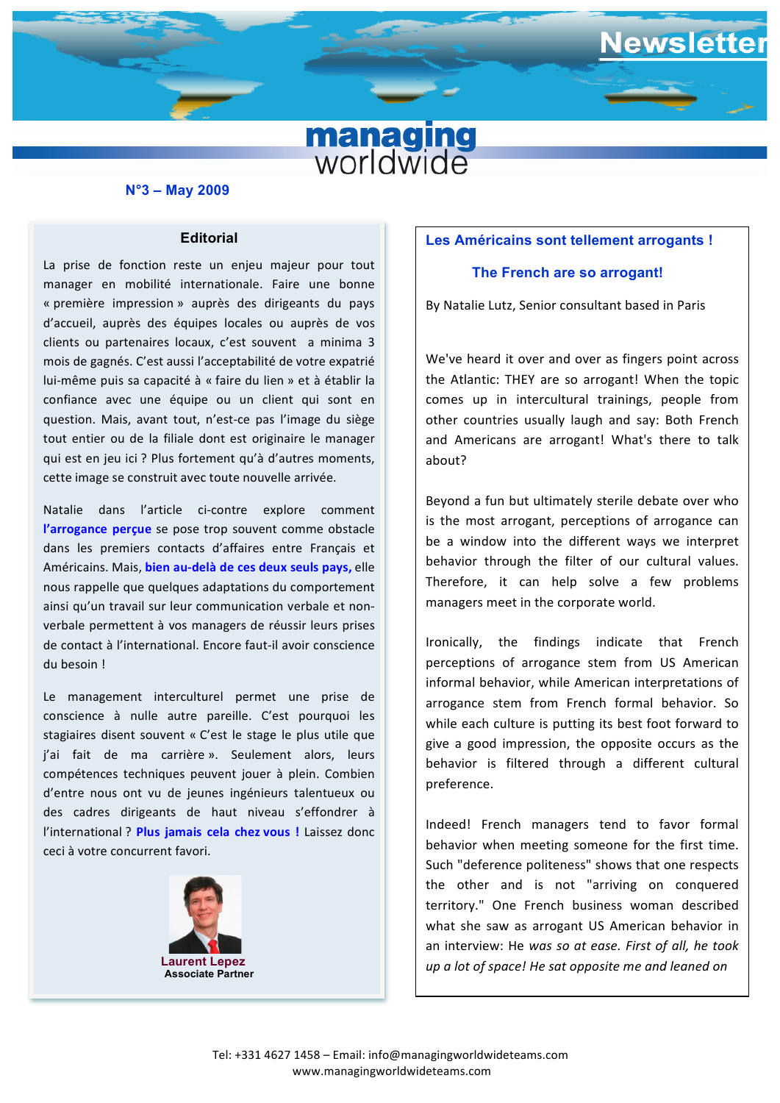

#### **N°3 – May 2009**

## **Editorial**

« première impression » auprès des unigeants du pays<br>d'accueil, auprès des équipes locales ou auprès de vos  confiance avec une équipe ou un client qui sont en La prise de fonction reste un enjeu majeur pour tout manager en mobilité internationale. Faire une bonne « première impression » auprès des dirigeants du pays clients ou partenaires locaux, c'est souvent a minima 3 mois de gagnés. C'est aussi l'acceptabilité de votre expatrié lui-même puis sa capacité à « faire du lien » et à établir la question. Mais, avant tout, n'est-ce pas l'image du siège tout entier ou de la filiale dont est originaire le manager qui est en jeu ici ? Plus fortement qu'à d'autres moments, cette image se construit avec toute nouvelle arrivée.

Natalie dans l'article ci-contre explore comment **l'arrogance percue** se pose trop souvent comme obstacle dans les premiers contacts d'affaires entre Français et Américains. Mais, **bien au-delà de ces deux seuls pays,** elle nous rappelle que quelques adaptations du comportement ainsi qu'un travail sur leur communication verbale et nonverbale permettent à vos managers de réussir leurs prises de contact à l'international. Encore faut-il avoir conscience du besoin ! 

Le management interculturel permet une prise de conscience à nulle autre pareille. C'est pourquoi les stagiaires disent souvent « C'est le stage le plus utile que j'ai fait de ma carrière ». Seulement alors, leurs compétences techniques peuvent jouer à plein. Combien d'entre nous ont vu de jeunes ingénieurs talentueux ou des cadres dirigeants de haut niveau s'effondrer à l'international ? Plus *iamais* cela chez vous ! Laissez donc ceci à votre concurrent favori.



**Associate Partner**

# **Les Américains sont tellement arrogants !**

ewsletter

# **The French are so arrogant!**

By Natalie Lutz, Senior consultant based in Paris

We've heard it over and over as fingers point across the Atlantic: THEY are so arrogant! When the topic comes up in intercultural trainings, people from other countries usually laugh and say: Both French and Americans are arrogant! What's there to talk about?

Beyond a fun but ultimately sterile debate over who is the most arrogant, perceptions of arrogance can be a window into the different ways we interpret behavior through the filter of our cultural values. Therefore, it can help solve a few problems managers meet in the corporate world.

Ironically, the findings indicate that French perceptions of arrogance stem from US American informal behavior, while American interpretations of arrogance stem from French formal behavior. So while each culture is putting its best foot forward to give a good impression, the opposite occurs as the behavior is filtered through a different cultural preference. 

Indeed! French managers tend to favor formal behavior when meeting someone for the first time. Such "deference politeness" shows that one respects the other and is not "arriving on conquered territory." One French business woman described what she saw as arrogant US American behavior in an interview: He was so at ease. First of all, he took *up* a lot of space! He sat opposite me and leaned on